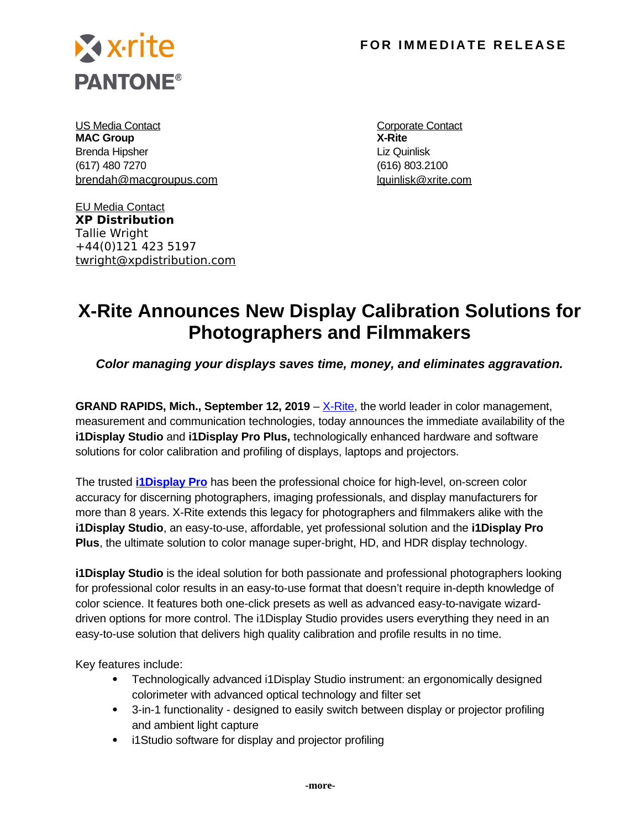

US Media Contact **Contact Contact** Contact Contact Contact Contact Contact Contact Contact Contact Contact Contact Contact Contact Contact Contact Contact Contact Contact Contact Contact Contact Contact Contact Contact Con **MAC Group X-Rite** Brenda Hipsher **Liz Quinlisk** (617) 480 7270 (616) 803.2100 [brendah@macgroupus.com](mailto:brendah@macgroupus.com) in the local details and launch launch launch launch launch and launch launch launch and la

EU Media Contact **XP Distribution** Tallie Wright +44(0)121 423 5197 twright@xpdistribution.com

# **X-Rite Announces New Display Calibration Solutions for Photographers and Filmmakers**

*Color managing your displays saves time, money, and eliminates aggravation.* 

**GRAND RAPIDS, Mich., September 12, 2019** – <u>X-Rite</u>, the world leader in color management, measurement and communication technologies, today announces the immediate availability of the **i1Display Studio** and **i1Display Pro Plus,** technologically enhanced hardware and software solutions for color calibration and profiling of displays, laptops and projectors.

The trusted **[i1Display Pro](https://xritephoto.com/i1display-pro)** has been the professional choice for high-level, on-screen color accuracy for discerning photographers, imaging professionals, and display manufacturers for more than 8 years. X-Rite extends this legacy for photographers and filmmakers alike with the **i1Display Studio**, an easy-to-use, affordable, yet professional solution and the **i1Display Pro Plus**, the ultimate solution to color manage super-bright, HD, and HDR display technology.

**i1Display Studio** is the ideal solution for both passionate and professional photographers looking for professional color results in an easy-to-use format that doesn't require in-depth knowledge of color science. It features both one-click presets as well as advanced easy-to-navigate wizarddriven options for more control. The i1Display Studio provides users everything they need in an easy-to-use solution that delivers high quality calibration and profile results in no time.

Key features include:

- Technologically advanced i1Display Studio instrument: an ergonomically designed colorimeter with advanced optical technology and filter set
- 3-in-1 functionality designed to easily switch between display or projector profiling and ambient light capture
- i1Studio software for display and projector profiling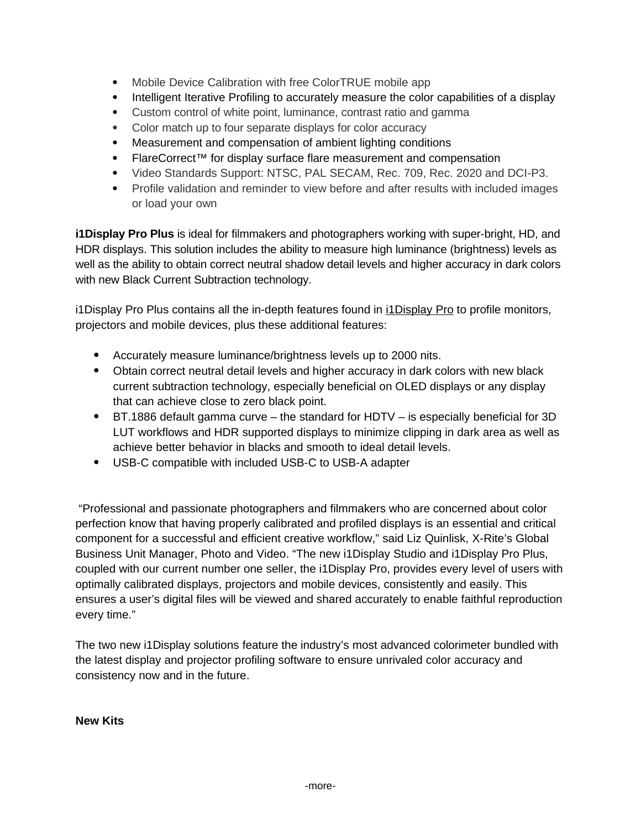- Mobile Device Calibration with free ColorTRUE mobile app
- Intelligent Iterative Profiling to accurately measure the color capabilities of a display
- Custom control of white point, luminance, contrast ratio and gamma
- Color match up to four separate displays for color accuracy
- Measurement and compensation of ambient lighting conditions
- FlareCorrect™ for display surface flare measurement and compensation
- Video Standards Support: NTSC, PAL SECAM, Rec. 709, Rec. 2020 and DCI-P3.
- Profile validation and reminder to view before and after results with included images or load your own

**i1Display Pro Plus** is ideal for filmmakers and photographers working with super-bright, HD, and HDR displays. This solution includes the ability to measure high luminance (brightness) levels as well as the ability to obtain correct neutral shadow detail levels and higher accuracy in dark colors with new Black Current Subtraction technology.

i1Display Pro Plus contains all the in-depth features found in [i1Display Pro](https://xritephoto.com/i1display-pro) to profile monitors, projectors and mobile devices, plus these additional features:

- Accurately measure luminance/brightness levels up to 2000 nits.
- Obtain correct neutral detail levels and higher accuracy in dark colors with new black current subtraction technology, especially beneficial on OLED displays or any display that can achieve close to zero black point.
- BT.1886 default gamma curve the standard for HDTV is especially beneficial for 3D LUT workflows and HDR supported displays to minimize clipping in dark area as well as achieve better behavior in blacks and smooth to ideal detail levels.
- USB-C compatible with included USB-C to USB-A adapter

"Professional and passionate photographers and filmmakers who are concerned about color perfection know that having properly calibrated and profiled displays is an essential and critical component for a successful and efficient creative workflow," said Liz Quinlisk, X-Rite's Global Business Unit Manager, Photo and Video. "The new i1Display Studio and i1Display Pro Plus, coupled with our current number one seller, the i1Display Pro, provides every level of users with optimally calibrated displays, projectors and mobile devices, consistently and easily. This ensures a user's digital files will be viewed and shared accurately to enable faithful reproduction every time."

The two new i1Display solutions feature the industry's most advanced colorimeter bundled with the latest display and projector profiling software to ensure unrivaled color accuracy and consistency now and in the future.

**New Kits**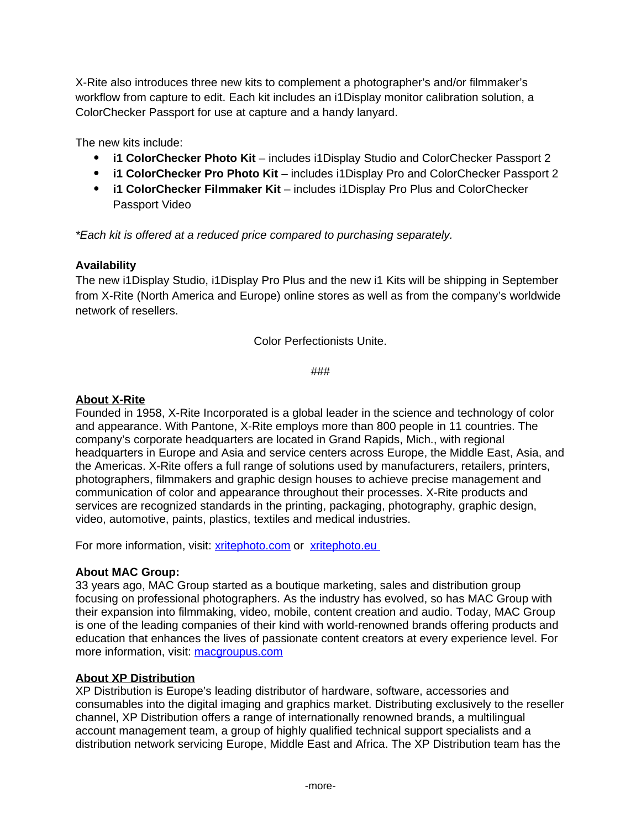X-Rite also introduces three new kits to complement a photographer's and/or filmmaker's workflow from capture to edit. Each kit includes an i1Display monitor calibration solution, a ColorChecker Passport for use at capture and a handy lanyard.

The new kits include:

- **i1 ColorChecker Photo Kit** includes i1Display Studio and ColorChecker Passport 2
- **i1 ColorChecker Pro Photo Kit** includes i1Display Pro and ColorChecker Passport 2
- **i1 ColorChecker Filmmaker Kit** includes i1Display Pro Plus and ColorChecker Passport Video

*\*Each kit is offered at a reduced price compared to purchasing separately.*

# **Availability**

The new i1Display Studio, i1Display Pro Plus and the new i1 Kits will be shipping in September from X-Rite (North America and Europe) online stores as well as from the company's worldwide network of resellers.

Color Perfectionists Unite.

###

# **About X-Rite**

Founded in 1958, X-Rite Incorporated is a global leader in the science and technology of color and appearance. With Pantone, X-Rite employs more than 800 people in 11 countries. The company's corporate headquarters are located in Grand Rapids, Mich., with regional headquarters in Europe and Asia and service centers across Europe, the Middle East, Asia, and the Americas. X-Rite offers a full range of solutions used by manufacturers, retailers, printers, photographers, filmmakers and graphic design houses to achieve precise management and communication of color and appearance throughout their processes. X-Rite products and services are recognized standards in the printing, packaging, photography, graphic design, video, automotive, paints, plastics, textiles and medical industries.

For more information, visit: [xritephoto.com](https://www.xritephoto.com/) or [xritephoto.eu](http://www.xritephoto.eu/)

### **About MAC Group:**

33 years ago, MAC Group started as a boutique marketing, sales and distribution group focusing on professional photographers. As the industry has evolved, so has MAC Group with their expansion into filmmaking, video, mobile, content creation and audio. Today, MAC Group is one of the leading companies of their kind with world-renowned brands offering products and education that enhances the lives of passionate content creators at every experience level. For more information, visit: [macgroupus.com](https://www.macgroupus.com/)

### **About XP Distribution**

XP Distribution is Europe's leading distributor of hardware, software, accessories and consumables into the digital imaging and graphics market. Distributing exclusively to the reseller channel, XP Distribution offers a range of internationally renowned brands, a multilingual account management team, a group of highly qualified technical support specialists and a distribution network servicing Europe, Middle East and Africa. The XP Distribution team has the